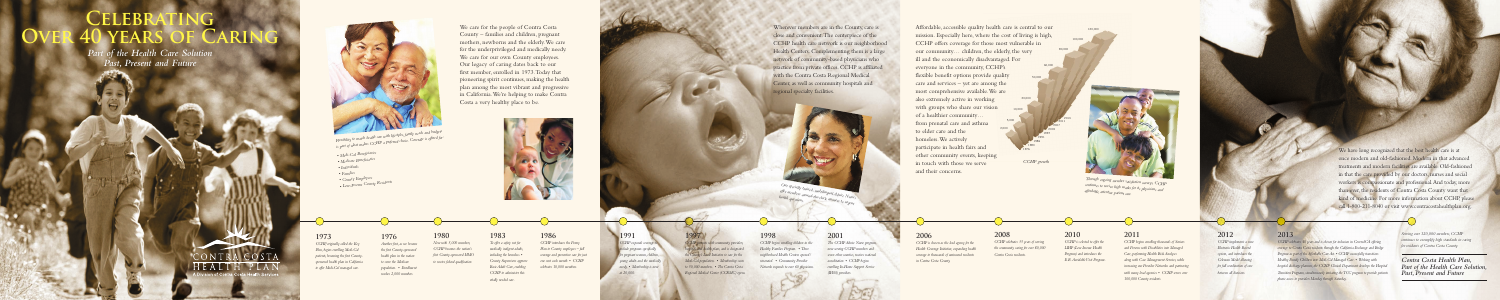- *Medi-Cal Beneficiaries*
- *Medicare Beneficiaries*
- *Individuals*
- *Families*
- *County Employees*
- *Low-Income County Residents*

We care for the people of Contra Costa County – families and children, pregnant mothers, newborns and the elderly. We care for the underprivileged and medically needy. We care for our own County employees. Our legacy of caring dates back to our first member, enrolled in 1973. Today that pioneering spirit continues, making the health plan among the most vibrant and progressive in California. We're helping to make Contra Costa a very healthy place to be.



Wherever members are in the County, care is close and convenient. The centerpiece of the CCHP health care network is our neighborhood Health Centers. Complementing them is a large network of community-based physicians who practice from private offices. CCHP is affiliated with the Contra Costa Regional Medical Center, as well as community hospitals and

# **CELEBF Over 40 years of Caring**

*Our specially trained, multilingual Advice Nurrely offer members around-the-clock answers to urgent health questions.*

regional specialty facilities.

### We have long recognized that the best health care is at once modern and old-fashioned. Modern in that advanced treatments and modern facilities are available. Old-fashioned in that the care provided by our doctors, nurses and social workers is compassionate and professional. And today, more than ever, the residents of Contra Costa County want that kind of medicine. For more information about CCHP, please call 1-800-211-8040 or visit www.contracostahealthplan.org.

*Part of the Health Care Solution Past, Present and Future*

 $\overline{\mathcal{R}}$ 

# ILALI



*Flexibility to match health care with lifestyles, family needs and budgets is part of what makes CCHP a preferred choice. Coverage is offered for:* 

mission. Especially here, where the cost of living is high, CCHP offers coverage for those most vulnerable in our community… children, the elderly, the very ill and the economically disadvantaged. For everyone in the community, CCHP's flexible benefit options provide quality care and services – yet are among the most comprehensive available. We are also extremely active in working with groups who share our vision of a healthier community… from prenatal care and asthma to elder care and the homeless. We actively participate in health fairs and other community events, keeping in touch with those we serve and their concerns.



*CCHP growth*



120,000

**CCHP** expands coverage to *include programs specifically for pregnant women, children, young adults and the medically needy. • Membership is now at 20,000.*

*Through ongoing member satisfaction surveys, CCHP continues to receive high marks for its physicians and affordable, attentive patient care.*

### **2006**

*CCHP is chosen as the lead agency for the Health Coverage Initiative, expanding health coverage to thousands of uninsured residents in Contra Costa County.*

### **2008**

*CCHP celebrates 35 years of serving the community caring for over 80,000 Contra Costa residents.*

**2010**

*CCHP is selected to offer the LIHP (Low Income Health Program) and introduces the E.R. Avoidable Visit Program.*

### **2011**

*CCHP begins enrolling thousands of Seniors and Persons with Disabilities into Managed Care, performing Health Risk Analyses along with Case Management Services, while increasing our Provider Networks and partnering with many local agencies. • CCHP serves over 100,000 County residents.*

### **2012**

*CCHP implements a new Electronic Health Record system, and introduces the Coleman Model allowing for full coordination of care between all divisions.*

### **2013**

*CCHP celebrates 40 years and is chosen for inclusion in CoveredCA offering coverage to Contra Costa residents through the California Exchange and Bridge Program as part of the Affordable Care Act. • CCHP successfully transitions Healthy Family Children into Medi-Cal Managed Care. • Working with hospital discharge planners, the CCHP Clinical Department develops the Hospit Transition Programs, simultaneously initiating the TCC program to provide patients phone access to providers Monday through Saturday.*

*Serving over 120,000 members, CCHP continues to exemplify high standards in caring for residents of Contra Costa County.*

*Contra Costa Health Plan, Part of the Health Care Solution, Past, Present and Future*

### **1973**

*CCHP, originally called the Key Plan, begins enrolling Medi-Cal patients, becoming the first Countysponsored health plan in California to offer Medi-Cal managed care.*

### **1976**

*Another first, as we become*  **1980**

*the first County-sponsored health plan in the nation to serve the Medicare population. • Enrollment reaches 2,000 members.*

*Now with 5,000 members, CCHP becomes the nation's first County-sponsored HMO to receive federal qualification.*  *To offer a safety net for medically indigent adults, including the homeless. • County Supervisors approve Basic Adult Care, enabling CCHP to administer this* 

**1983** *vitally needed care.*

### **1986**

*CCHP introduces the Penny Plan to County employees – full coverage and preventive care for just one cent each month. • CCHP celebrates 10,000 members.*

# **1991**

## **1997**

*CCHP partners with community providers, hospitals and health plans, and is designated the County's Local Initiative to care for the Medi-Cal population. • Membership soars to 50,000 members. • The Contra Costa Regional Medical Center (CCRMC) opens.*

### **1998**

*CCHP begins enrolling children in the Healthy Families Program. • Three neighborhood Health Centers opened/ renovated. • Community Provider Network expands to over 60 physicians.*

### **2001**

*The CCHP Advice Nurse program, now serving CCHP members and seven other counties, receives national accreditation. • CCHP begins enrolling In-Home Support Service (IHSS) providers.*